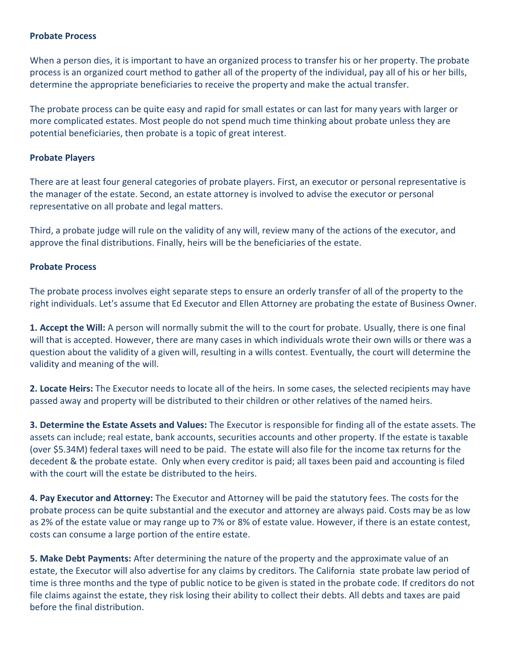### **Probate Process**

When a person dies, it is important to have an organized process to transfer his or her property. The probate process is an organized court method to gather all of the property of the individual, pay all of his or her bills, determine the appropriate beneficiaries to receive the property and make the actual transfer.

The probate process can be quite easy and rapid for small estates or can last for many years with larger or more complicated estates. Most people do not spend much time thinking about probate unless they are potential beneficiaries, then probate is a topic of great interest.

### **Probate Players**

There are at least four general categories of probate players. First, an executor or personal representative is the manager of the estate. Second, an estate attorney is involved to advise the executor or personal representative on all probate and legal matters.

Third, a probate judge will rule on the validity of any will, review many of the actions of the executor, and approve the final distributions. Finally, heirs will be the beneficiaries of the estate.

### **Probate Process**

The probate process involves eight separate steps to ensure an orderly transfer of all of the property to the right individuals. Let's assume that Ed Executor and Ellen Attorney are probating the estate of Business Owner.

**1. Accept the Will:** A person will normally submit the will to the court for probate. Usually, there is one final will that is accepted. However, there are many cases in which individuals wrote their own wills or there was a question about the validity of a given will, resulting in a wills contest. Eventually, the court will determine the validity and meaning of the will.

**2. Locate Heirs:** The Executor needs to locate all of the heirs. In some cases, the selected recipients may have passed away and property will be distributed to their children or other relatives of the named heirs.

**3. Determine the Estate Assets and Values:** The Executor is responsible for finding all of the estate assets. The assets can include; real estate, bank accounts, securities accounts and other property. If the estate is taxable (over \$5.34M) federal taxes will need to be paid. The estate will also file for the income tax returns for the decedent & the probate estate. Only when every creditor is paid; all taxes been paid and accounting is filed with the court will the estate be distributed to the heirs.

**4. Pay Executor and Attorney:** The Executor and Attorney will be paid the statutory fees. The costs for the probate process can be quite substantial and the executor and attorney are always paid. Costs may be as low as 2% of the estate value or may range up to 7% or 8% of estate value. However, if there is an estate contest, costs can consume a large portion of the entire estate.

**5. Make Debt Payments:** After determining the nature of the property and the approximate value of an estate, the Executor will also advertise for any claims by creditors. The California state probate law period of time is three months and the type of public notice to be given is stated in the probate code. If creditors do not file claims against the estate, they risk losing their ability to collect their debts. All debts and taxes are paid before the final distribution.